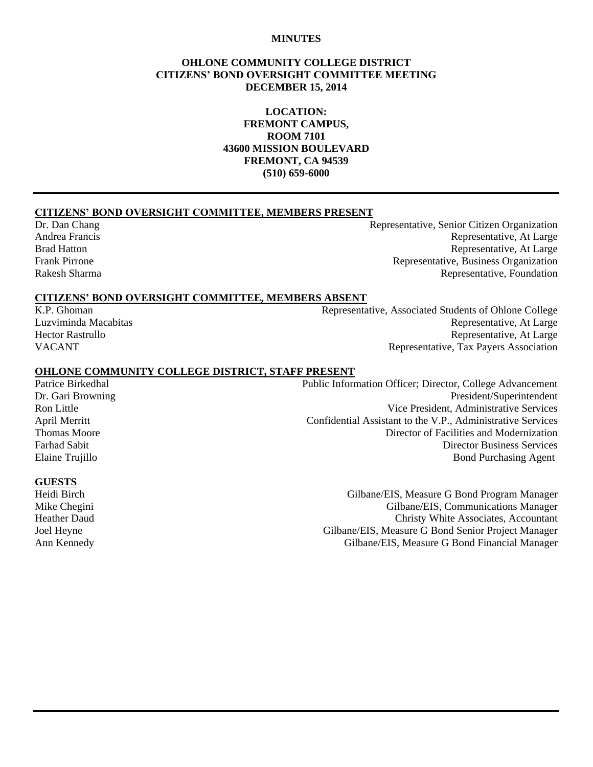#### **MINUTES**

#### **OHLONE COMMUNITY COLLEGE DISTRICT CITIZENS' BOND OVERSIGHT COMMITTEE MEETING DECEMBER 15, 2014**

**LOCATION: FREMONT CAMPUS, ROOM 7101 43600 MISSION BOULEVARD FREMONT, CA 94539 (510) 659-6000**

#### **CITIZENS' BOND OVERSIGHT COMMITTEE, MEMBERS PRESENT**

Dr. Dan Chang Representative, Senior Citizen Organization Andrea Francis Representative, At Large Brad Hatton Representative, At Large Frank Pirrone **Representative, Business Organization** Representative, Business Organization Rakesh Sharma **Representative, Foundation** Representative, Foundation

#### **CITIZENS' BOND OVERSIGHT COMMITTEE, MEMBERS ABSENT**

K.P. Ghoman Representative, Associated Students of Ohlone College Luzviminda Macabitas Representative, At Large Hector Rastrullo Representative, At Large VACANT Representative, Tax Payers Association

#### **OHLONE COMMUNITY COLLEGE DISTRICT, STAFF PRESENT**

Patrice Birkedhal Public Information Officer; Director, College Advancement Dr. Gari Browning President/Superintendent Ron Little **No. 2. In the Contract of Contract Contract Contract Contract Contract Contract Contract Contract Contract Contract Vice President, Administrative Services** April Merritt Confidential Assistant to the V.P., Administrative Services Thomas Moore **Thomas Moore** 2008 **The Contract of Facilities and Modernization** Farhad Sabit Director Business Services Elaine Trujillo **Bond Purchasing Agent** Bond Purchasing Agent

#### **GUESTS**

Heidi Birch Gilbane/EIS, Measure G Bond Program Manager Mike Chegini Gilbane/EIS, Communications Manager Heather Daud Christy White Associates, Accountant Joel Heyne Gilbane/EIS, Measure G Bond Senior Project Manager Ann Kennedy Gilbane/EIS, Measure G Bond Financial Manager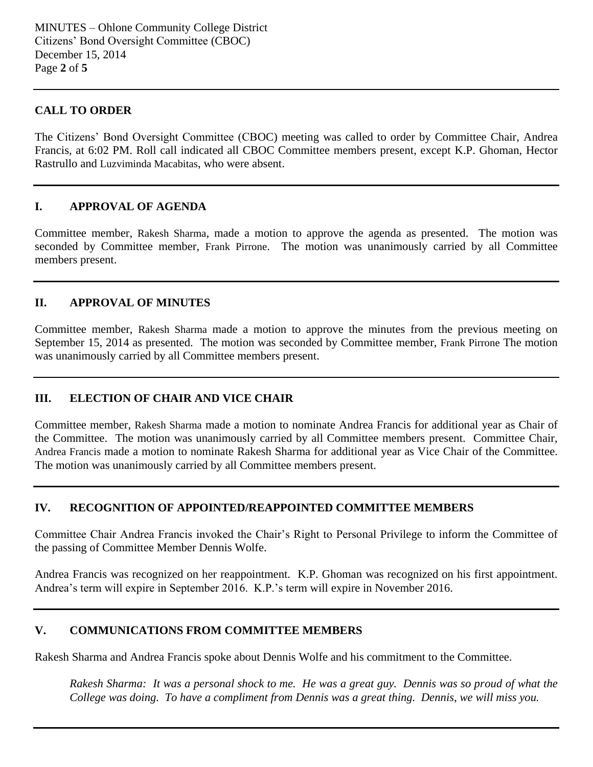#### **CALL TO ORDER**

The Citizens' Bond Oversight Committee (CBOC) meeting was called to order by Committee Chair, Andrea Francis, at 6:02 PM. Roll call indicated all CBOC Committee members present, except K.P. Ghoman, Hector Rastrullo and Luzviminda Macabitas, who were absent.

#### **I. APPROVAL OF AGENDA**

Committee member, Rakesh Sharma, made a motion to approve the agenda as presented. The motion was seconded by Committee member, Frank Pirrone. The motion was unanimously carried by all Committee members present.

#### **II. APPROVAL OF MINUTES**

Committee member, Rakesh Sharma made a motion to approve the minutes from the previous meeting on September 15, 2014 as presented. The motion was seconded by Committee member, Frank Pirrone The motion was unanimously carried by all Committee members present.

### **III. ELECTION OF CHAIR AND VICE CHAIR**

Committee member, Rakesh Sharma made a motion to nominate Andrea Francis for additional year as Chair of the Committee. The motion was unanimously carried by all Committee members present. Committee Chair, Andrea Francis made a motion to nominate Rakesh Sharma for additional year as Vice Chair of the Committee. The motion was unanimously carried by all Committee members present.

### **IV. RECOGNITION OF APPOINTED/REAPPOINTED COMMITTEE MEMBERS**

Committee Chair Andrea Francis invoked the Chair's Right to Personal Privilege to inform the Committee of the passing of Committee Member Dennis Wolfe.

Andrea Francis was recognized on her reappointment. K.P. Ghoman was recognized on his first appointment. Andrea's term will expire in September 2016. K.P.'s term will expire in November 2016.

### **V. COMMUNICATIONS FROM COMMITTEE MEMBERS**

Rakesh Sharma and Andrea Francis spoke about Dennis Wolfe and his commitment to the Committee.

*Rakesh Sharma: It was a personal shock to me. He was a great guy. Dennis was so proud of what the College was doing. To have a compliment from Dennis was a great thing. Dennis, we will miss you.*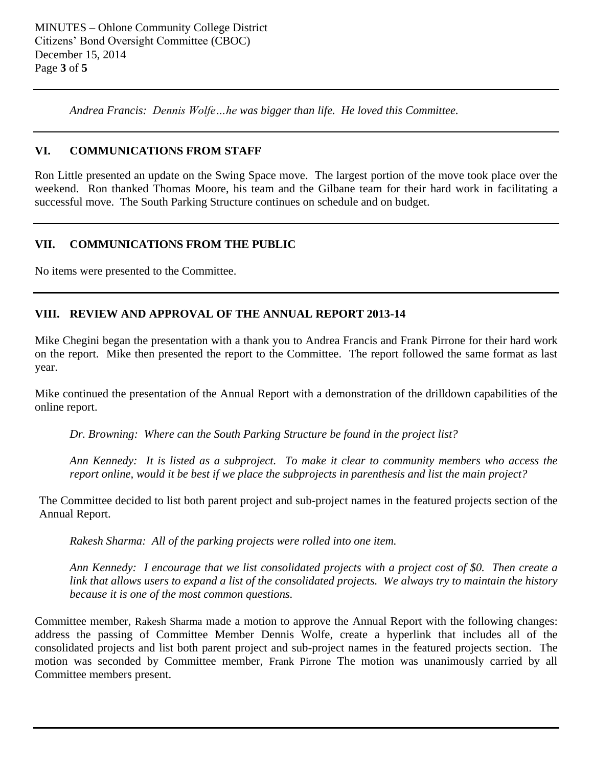*Andrea Francis: Dennis Wolfe…he was bigger than life. He loved this Committee.*

## **VI. COMMUNICATIONS FROM STAFF**

Ron Little presented an update on the Swing Space move. The largest portion of the move took place over the weekend. Ron thanked Thomas Moore, his team and the Gilbane team for their hard work in facilitating a successful move. The South Parking Structure continues on schedule and on budget.

## **VII. COMMUNICATIONS FROM THE PUBLIC**

No items were presented to the Committee.

## **VIII. REVIEW AND APPROVAL OF THE ANNUAL REPORT 2013-14**

Mike Chegini began the presentation with a thank you to Andrea Francis and Frank Pirrone for their hard work on the report. Mike then presented the report to the Committee. The report followed the same format as last year.

Mike continued the presentation of the Annual Report with a demonstration of the drilldown capabilities of the online report.

*Dr. Browning: Where can the South Parking Structure be found in the project list?*

*Ann Kennedy: It is listed as a subproject. To make it clear to community members who access the report online, would it be best if we place the subprojects in parenthesis and list the main project?*

The Committee decided to list both parent project and sub-project names in the featured projects section of the Annual Report.

*Rakesh Sharma: All of the parking projects were rolled into one item.*

*Ann Kennedy: I encourage that we list consolidated projects with a project cost of \$0. Then create a link that allows users to expand a list of the consolidated projects. We always try to maintain the history because it is one of the most common questions.*

Committee member, Rakesh Sharma made a motion to approve the Annual Report with the following changes: address the passing of Committee Member Dennis Wolfe, create a hyperlink that includes all of the consolidated projects and list both parent project and sub-project names in the featured projects section. The motion was seconded by Committee member, Frank Pirrone The motion was unanimously carried by all Committee members present.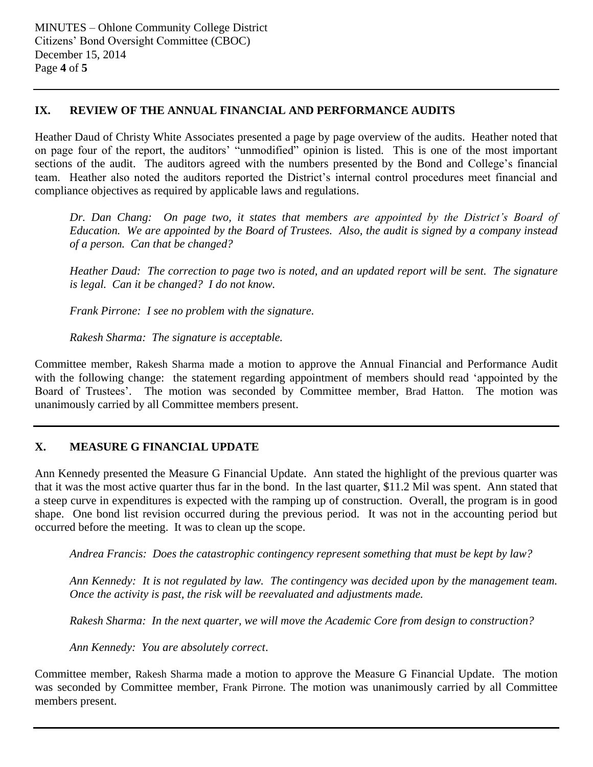## **IX. REVIEW OF THE ANNUAL FINANCIAL AND PERFORMANCE AUDITS**

Heather Daud of Christy White Associates presented a page by page overview of the audits. Heather noted that on page four of the report, the auditors' "unmodified" opinion is listed. This is one of the most important sections of the audit. The auditors agreed with the numbers presented by the Bond and College's financial team. Heather also noted the auditors reported the District's internal control procedures meet financial and compliance objectives as required by applicable laws and regulations.

*Dr. Dan Chang: On page two, it states that members are appointed by the District's Board of Education. We are appointed by the Board of Trustees. Also, the audit is signed by a company instead of a person. Can that be changed?*

*Heather Daud: The correction to page two is noted, and an updated report will be sent. The signature is legal. Can it be changed? I do not know.*

*Frank Pirrone: I see no problem with the signature.*

*Rakesh Sharma: The signature is acceptable.* 

Committee member, Rakesh Sharma made a motion to approve the Annual Financial and Performance Audit with the following change: the statement regarding appointment of members should read 'appointed by the Board of Trustees'. The motion was seconded by Committee member, Brad Hatton. The motion was unanimously carried by all Committee members present.

## **X. MEASURE G FINANCIAL UPDATE**

Ann Kennedy presented the Measure G Financial Update. Ann stated the highlight of the previous quarter was that it was the most active quarter thus far in the bond. In the last quarter, \$11.2 Mil was spent. Ann stated that a steep curve in expenditures is expected with the ramping up of construction. Overall, the program is in good shape. One bond list revision occurred during the previous period. It was not in the accounting period but occurred before the meeting. It was to clean up the scope.

*Andrea Francis: Does the catastrophic contingency represent something that must be kept by law?*

*Ann Kennedy: It is not regulated by law. The contingency was decided upon by the management team. Once the activity is past, the risk will be reevaluated and adjustments made.* 

*Rakesh Sharma: In the next quarter, we will move the Academic Core from design to construction?*

*Ann Kennedy: You are absolutely correct*.

Committee member, Rakesh Sharma made a motion to approve the Measure G Financial Update. The motion was seconded by Committee member, Frank Pirrone. The motion was unanimously carried by all Committee members present.